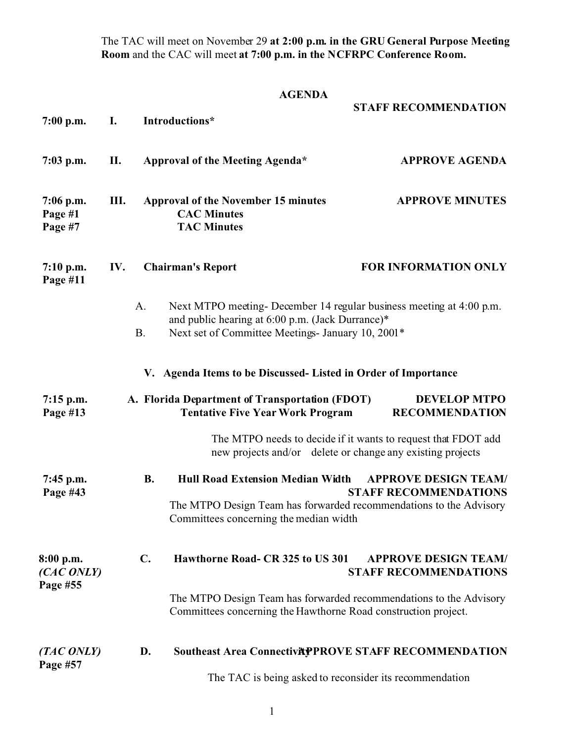The TAC will meet on November 29 **at 2:00 p.m. in the GRU General Purpose Meeting Room** and the CAC will meet **at 7:00 p.m. in the NCFRPC Conference Room.**

## **AGENDA**

| $7:00$ p.m.                         | I.                                                      |                                                                                                                                      | Introductions*                                                                                                                                                               | <b>STAFF RECOMMENDATION</b>                                                                                                 |  |
|-------------------------------------|---------------------------------------------------------|--------------------------------------------------------------------------------------------------------------------------------------|------------------------------------------------------------------------------------------------------------------------------------------------------------------------------|-----------------------------------------------------------------------------------------------------------------------------|--|
| $7:03$ p.m.                         | П.                                                      |                                                                                                                                      | Approval of the Meeting Agenda*                                                                                                                                              | <b>APPROVE AGENDA</b>                                                                                                       |  |
| $7:06$ p.m.<br>Page #1<br>Page #7   | III.                                                    |                                                                                                                                      | <b>Approval of the November 15 minutes</b><br><b>CAC Minutes</b><br><b>TAC Minutes</b>                                                                                       | <b>APPROVE MINUTES</b>                                                                                                      |  |
| $7:10$ p.m.<br>Page #11             | IV.                                                     |                                                                                                                                      | <b>Chairman's Report</b>                                                                                                                                                     | <b>FOR INFORMATION ONLY</b>                                                                                                 |  |
|                                     |                                                         | A.<br><b>B.</b>                                                                                                                      | Next MTPO meeting-December 14 regular business meeting at 4:00 p.m.<br>and public hearing at 6:00 p.m. (Jack Durrance)*<br>Next set of Committee Meetings- January 10, 2001* |                                                                                                                             |  |
|                                     |                                                         |                                                                                                                                      | V. Agenda Items to be Discussed-Listed in Order of Importance                                                                                                                |                                                                                                                             |  |
| $7:15$ p.m.<br>Page #13             |                                                         |                                                                                                                                      | A. Florida Department of Transportation (FDOT)<br><b>Tentative Five Year Work Program</b>                                                                                    | <b>DEVELOP MTPO</b><br><b>RECOMMENDATION</b>                                                                                |  |
|                                     |                                                         |                                                                                                                                      |                                                                                                                                                                              | The MTPO needs to decide if it wants to request that FDOT add<br>new projects and/or delete or change any existing projects |  |
| 7:45 p.m.<br>Page #43               |                                                         | <b>B.</b>                                                                                                                            | Hull Road Extension Median Width<br>The MTPO Design Team has forwarded recommendations to the Advisory<br>Committees concerning the median width                             | <b>APPROVE DESIGN TEAM/</b><br><b>STAFF RECOMMENDATIONS</b>                                                                 |  |
| 8:00 p.m.<br>(CAC ONLY)<br>Page #55 |                                                         | $\mathbf{C}$ .                                                                                                                       | Hawthorne Road- CR 325 to US 301                                                                                                                                             | <b>APPROVE DESIGN TEAM/</b><br><b>STAFF RECOMMENDATIONS</b>                                                                 |  |
|                                     |                                                         | The MTPO Design Team has forwarded recommendations to the Advisory<br>Committees concerning the Hawthorne Road construction project. |                                                                                                                                                                              |                                                                                                                             |  |
| (TAC ONLY)<br>Page #57              |                                                         | D.                                                                                                                                   | Southeast Area Connectivity PROVE STAFF RECOMMENDATION                                                                                                                       |                                                                                                                             |  |
|                                     | The TAC is being asked to reconsider its recommendation |                                                                                                                                      |                                                                                                                                                                              |                                                                                                                             |  |